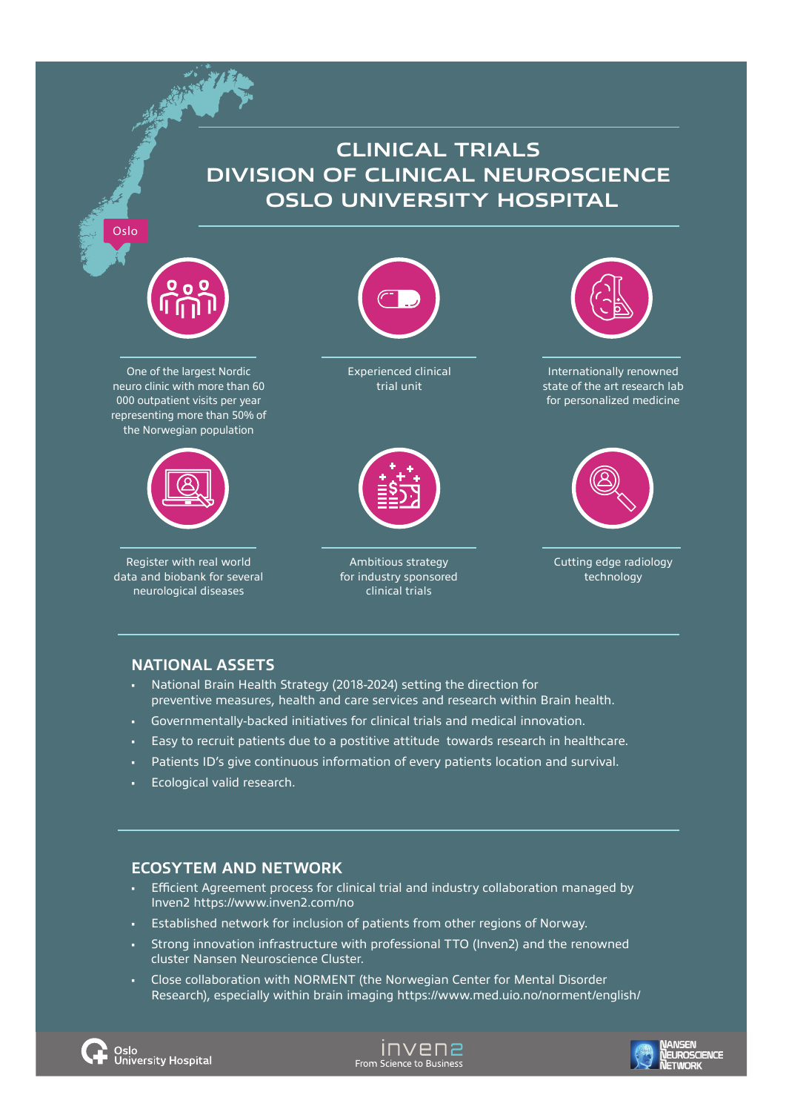## **CLINICAL TRIALS DIVISION OF CLINICAL NEUROSCIENCE OSLO UNIVERSITY HOSPITAL**



Oslo

One of the largest Nordic neuro clinic with more than 60 000 outpatient visits per year representing more than 50% of the Norwegian population



Register with real world data and biobank for several neurological diseases

Experienced clinical trial unit



Ambitious strategy for industry sponsored clinical trials



Internationally renowned state of the art research lab for personalized medicine



Cutting edge radiology technology

### **NATIONAL ASSETS**

- National Brain Health Strategy (2018-2024) setting the direction for preventive measures, health and care services and research within Brain health.
- Governmentally-backed initiatives for clinical trials and medical innovation.
- Easy to recruit patients due to a postitive attitude towards research in healthcare.
- Patients ID's give continuous information of every patients location and survival.
- Ecological valid research.

### **ECOSYTEM AND NETWORK**

- Efficient Agreement process for clinical trial and industry collaboration managed by Inven2 https://www.inven2.com/no
- Established network for inclusion of patients from other regions of Norway.
- Strong innovation infrastructure with professional TTO (Inven2) and the renowned cluster Nansen Neuroscience Cluster.
- Close collaboration with NORMENT (the Norwegian Center for Mental Disorder Research), especially within brain imaging https://www.med.uio.no/norment/english/





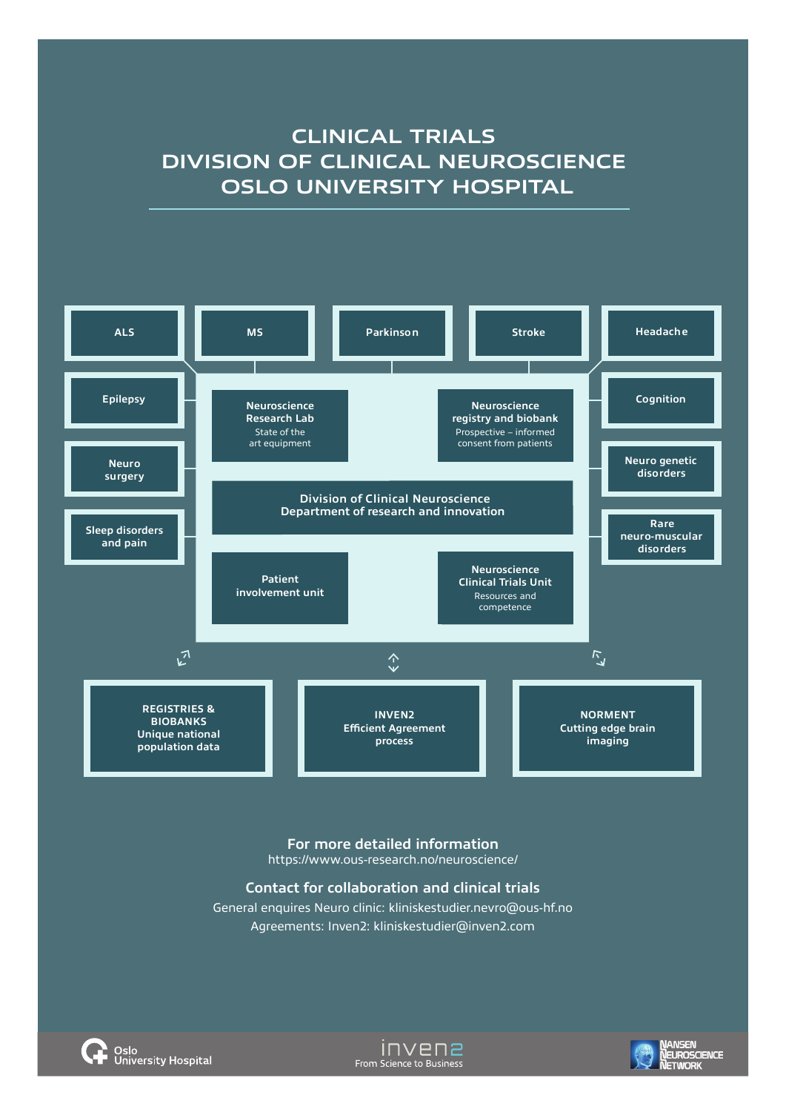# **CLINICAL TRIALS DIVISION OF CLINICAL NEUROSCIENCE OSLO UNIVERSITY HOSPITAL**



### **For more detailed information** https://www.ous-research.no/neuroscience/

### **Contact for collaboration and clinical trials**

General enquires Neuro clinic: kliniskestudier.nevro@ous-hf.no Agreements: Inven2: kliniskestudier@inven2.com



invenz From Science to Business